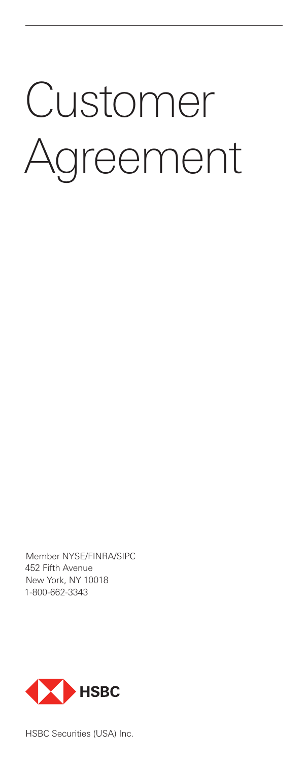# Customer Agreement

Member NYSE/FINRA/SIPC 452 Fifth Avenue New York, NY 10018 1-800-662-3343



HSBC Securities (USA) Inc.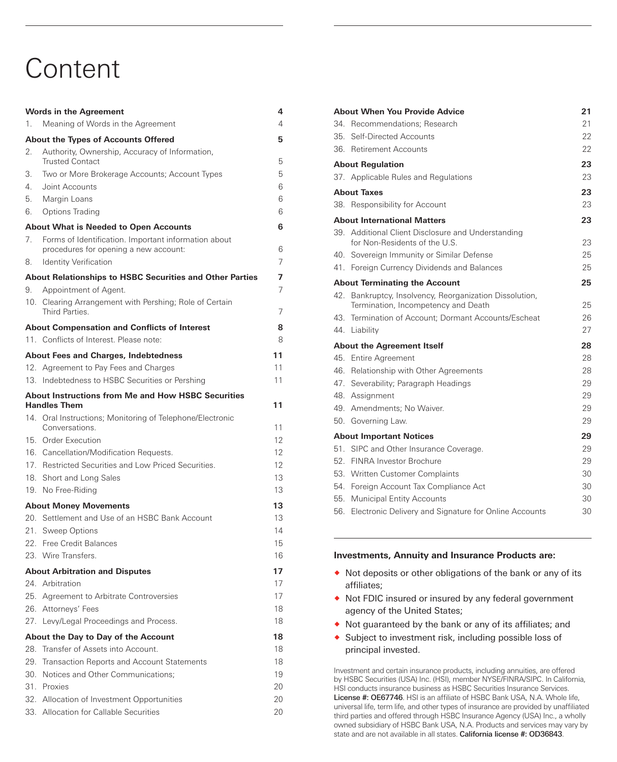# **Content**

|     | <b>Words in the Agreement</b>                                                                 | 4  |
|-----|-----------------------------------------------------------------------------------------------|----|
| 1.  | Meaning of Words in the Agreement                                                             | 4  |
|     | <b>About the Types of Accounts Offered</b>                                                    | 5  |
| 2.  | Authority, Ownership, Accuracy of Information,<br><b>Trusted Contact</b>                      | 5  |
| 3.  | Two or More Brokerage Accounts; Account Types                                                 | 5  |
| 4.  | Joint Accounts                                                                                | 6  |
| 5.  | Margin Loans                                                                                  | 6  |
| 6.  | Options Trading                                                                               | 6  |
|     | <b>About What is Needed to Open Accounts</b>                                                  | 6  |
| 7.  | Forms of Identification. Important information about<br>procedures for opening a new account: | 6  |
| 8.  | <b>Identity Verification</b>                                                                  | 7  |
|     | About Relationships to HSBC Securities and Other Parties                                      | 7  |
| 9.  | Appointment of Agent.                                                                         | 7  |
|     | 10. Clearing Arrangement with Pershing; Role of Certain<br>Third Parties.                     | 7  |
|     | <b>About Compensation and Conflicts of Interest</b>                                           | 8  |
|     | 11. Conflicts of Interest. Please note:                                                       | 8  |
|     | <b>About Fees and Charges, Indebtedness</b>                                                   | 11 |
|     | 12. Agreement to Pay Fees and Charges                                                         | 11 |
|     | 13. Indebtedness to HSBC Securities or Pershing                                               | 11 |
|     | <b>About Instructions from Me and How HSBC Securities</b><br><b>Handles Them</b>              | 11 |
|     | 14. Oral Instructions; Monitoring of Telephone/Electronic<br>Conversations.                   | 11 |
|     | 15. Order Execution                                                                           | 12 |
|     | 16. Cancellation/Modification Requests.                                                       | 12 |
|     | 17. Restricted Securities and Low Priced Securities.                                          | 12 |
|     | 18. Short and Long Sales                                                                      | 13 |
|     | 19. No Free-Riding                                                                            | 13 |
|     | <b>About Money Movements</b>                                                                  | 13 |
|     | 20. Settlement and Use of an HSBC Bank Account                                                | 13 |
| 21. | Sweep Options                                                                                 | 14 |
|     | 22. Free Credit Balances                                                                      | 15 |
|     | 23. Wire Transfers.                                                                           | 16 |
|     | <b>About Arbitration and Disputes</b>                                                         | 17 |
|     | 24. Arbitration                                                                               | 17 |
|     | 25. Agreement to Arbitrate Controversies                                                      | 17 |
|     | 26. Attorneys' Fees                                                                           | 18 |
|     | 27. Levy/Legal Proceedings and Process.                                                       | 18 |
|     | About the Day to Day of the Account                                                           | 18 |
|     | 28. Transfer of Assets into Account.                                                          | 18 |
| 29. | <b>Transaction Reports and Account Statements</b>                                             | 18 |
|     | 30. Notices and Other Communications;                                                         | 19 |
|     | 31. Proxies                                                                                   | 20 |
|     | 32. Allocation of Investment Opportunities                                                    | 20 |
|     | 33. Allocation for Callable Securities                                                        | 20 |

| <b>About When You Provide Advice</b><br>21 |                                                                                                |    |  |  |
|--------------------------------------------|------------------------------------------------------------------------------------------------|----|--|--|
| 34                                         | Recommendations: Research                                                                      | 21 |  |  |
| 35.                                        | Self-Directed Accounts                                                                         | 22 |  |  |
|                                            | 36. Retirement Accounts                                                                        | 22 |  |  |
| <b>About Regulation</b>                    |                                                                                                |    |  |  |
|                                            | 37. Applicable Rules and Regulations                                                           | 23 |  |  |
| <b>About Taxes</b>                         |                                                                                                |    |  |  |
|                                            | 38. Responsibility for Account                                                                 | 23 |  |  |
|                                            | <b>About International Matters</b>                                                             | 23 |  |  |
|                                            | 39. Additional Client Disclosure and Understanding<br>for Non-Residents of the U.S.            | 23 |  |  |
|                                            | 40. Sovereign Immunity or Similar Defense                                                      | 25 |  |  |
|                                            | 41. Foreign Currency Dividends and Balances                                                    | 25 |  |  |
| 25<br><b>About Terminating the Account</b> |                                                                                                |    |  |  |
|                                            | 42. Bankruptcy, Insolvency, Reorganization Dissolution,<br>Termination, Incompetency and Death | 25 |  |  |
|                                            | 43. Termination of Account; Dormant Accounts/Escheat                                           | 26 |  |  |
|                                            | 44. Liability                                                                                  | 27 |  |  |
| <b>About the Agreement Itself</b>          |                                                                                                |    |  |  |
|                                            | 45. Entire Agreement                                                                           | 28 |  |  |
|                                            | 46. Relationship with Other Agreements                                                         | 28 |  |  |
|                                            | 47. Severability; Paragraph Headings                                                           | 29 |  |  |
|                                            | 48. Assignment                                                                                 | 29 |  |  |
|                                            | 49. Amendments: No Waiver.                                                                     | 29 |  |  |
|                                            | 50. Governing Law.                                                                             | 29 |  |  |
| <b>About Important Notices</b>             |                                                                                                |    |  |  |
| 51                                         | SIPC and Other Insurance Coverage.                                                             | 29 |  |  |
|                                            | 52 FINRA Investor Brochure                                                                     | 29 |  |  |
|                                            | 53. Written Customer Complaints                                                                | 30 |  |  |
|                                            | 54. Foreign Account Tax Compliance Act                                                         | 30 |  |  |
|                                            | 55. Municipal Entity Accounts                                                                  | 30 |  |  |
| 56.                                        | Electronic Delivery and Signature for Online Accounts                                          | 30 |  |  |

#### **Investments, Annuity and Insurance Products are:**

- ® Not deposits or other obligations of the bank or any of its affiliates;
- ® Not FDIC insured or insured by any federal government agency of the United States;
- ® Not guaranteed by the bank or any of its affiliates; and
- ® Subject to investment risk, including possible loss of principal invested.

Investment and certain insurance products, including annuities, are offered by HSBC Securities (USA) Inc. (HSI), member NYSE/FINRA/SIPC. In California, HSI conducts insurance business as HSBC Securities Insurance Services. License #: OE67746. HSI is an affiliate of HSBC Bank USA, N.A. Whole life, universal life, term life, and other types of insurance are provided by unaffiliated third parties and offered through HSBC Insurance Agency (USA) Inc., a wholly owned subsidiary of HSBC Bank USA, N.A. Products and services may vary by state and are not available in all states. California license #: OD36843.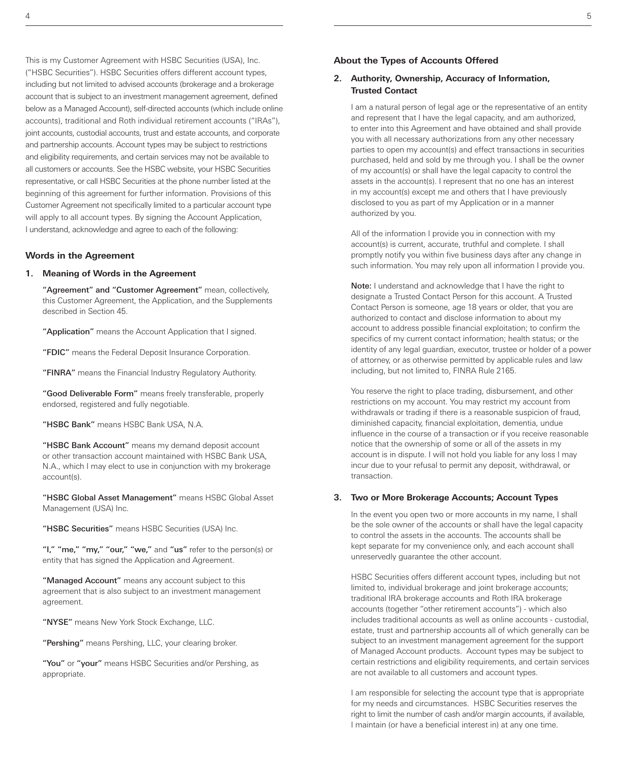This is my Customer Agreement with HSBC Securities (USA), Inc. ("HSBC Securities"). HSBC Securities offers different account types, including but not limited to advised accounts (brokerage and a brokerage account that is subject to an investment management agreement, defined below as a Managed Account), self-directed accounts (which include online accounts), traditional and Roth individual retirement accounts ("IRAs"), joint accounts, custodial accounts, trust and estate accounts, and corporate and partnership accounts. Account types may be subject to restrictions and eligibility requirements, and certain services may not be available to all customers or accounts. See the HSBC website, your HSBC Securities representative, or call HSBC Securities at the phone number listed at the beginning of this agreement for further information. Provisions of this Customer Agreement not specifically limited to a particular account type will apply to all account types. By signing the Account Application, I understand, acknowledge and agree to each of the following:

# **Words in the Agreement**

#### **1. Meaning of Words in the Agreement**

"Agreement" and "Customer Agreement" mean, collectively, this Customer Agreement, the Application, and the Supplements described in Section 45.

"Application" means the Account Application that I signed.

"FDIC" means the Federal Deposit Insurance Corporation.

"FINRA" means the Financial Industry Regulatory Authority.

"Good Deliverable Form" means freely transferable, properly endorsed, registered and fully negotiable.

"HSBC Bank" means HSBC Bank USA, N.A.

"HSBC Bank Account" means my demand deposit account or other transaction account maintained with HSBC Bank USA, N.A., which I may elect to use in conjunction with my brokerage account(s).

"HSBC Global Asset Management" means HSBC Global Asset Management (USA) Inc.

"HSBC Securities" means HSBC Securities (USA) Inc.

"I," "me," "my," "our," "we," and "us" refer to the person(s) or entity that has signed the Application and Agreement.

"Managed Account" means any account subject to this agreement that is also subject to an investment management agreement.

"NYSE" means New York Stock Exchange, LLC.

"Pershing" means Pershing, LLC, your clearing broker.

"You" or "your" means HSBC Securities and/or Pershing, as appropriate.

## **About the Types of Accounts Offered**

#### **2. Authority, Ownership, Accuracy of Information, Trusted Contact**

I am a natural person of legal age or the representative of an entity and represent that I have the legal capacity, and am authorized, to enter into this Agreement and have obtained and shall provide you with all necessary authorizations from any other necessary parties to open my account(s) and effect transactions in securities purchased, held and sold by me through you. I shall be the owner of my account(s) or shall have the legal capacity to control the assets in the account(s). I represent that no one has an interest in my account(s) except me and others that I have previously disclosed to you as part of my Application or in a manner authorized by you.

All of the information I provide you in connection with my account(s) is current, accurate, truthful and complete. I shall promptly notify you within five business days after any change in such information. You may rely upon all information I provide you.

Note: I understand and acknowledge that I have the right to designate a Trusted Contact Person for this account. A Trusted Contact Person is someone, age 18 years or older, that you are authorized to contact and disclose information to about my account to address possible financial exploitation; to confirm the specifics of my current contact information; health status; or the identity of any legal guardian, executor, trustee or holder of a power of attorney, or as otherwise permitted by applicable rules and law including, but not limited to, FINRA Rule 2165.

You reserve the right to place trading, disbursement, and other restrictions on my account. You may restrict my account from withdrawals or trading if there is a reasonable suspicion of fraud, diminished capacity, financial exploitation, dementia, undue influence in the course of a transaction or if you receive reasonable notice that the ownership of some or all of the assets in my account is in dispute. I will not hold you liable for any loss I may incur due to your refusal to permit any deposit, withdrawal, or transaction.

#### **3. Two or More Brokerage Accounts; Account Types**

In the event you open two or more accounts in my name, I shall be the sole owner of the accounts or shall have the legal capacity to control the assets in the accounts. The accounts shall be kept separate for my convenience only, and each account shall unreservedly guarantee the other account.

HSBC Securities offers different account types, including but not limited to, individual brokerage and joint brokerage accounts; traditional IRA brokerage accounts and Roth IRA brokerage accounts (together "other retirement accounts") - which also includes traditional accounts as well as online accounts - custodial, estate, trust and partnership accounts all of which generally can be subject to an investment management agreement for the support of Managed Account products. Account types may be subject to certain restrictions and eligibility requirements, and certain services are not available to all customers and account types.

I am responsible for selecting the account type that is appropriate for my needs and circumstances. HSBC Securities reserves the right to limit the number of cash and/or margin accounts, if available, I maintain (or have a beneficial interest in) at any one time.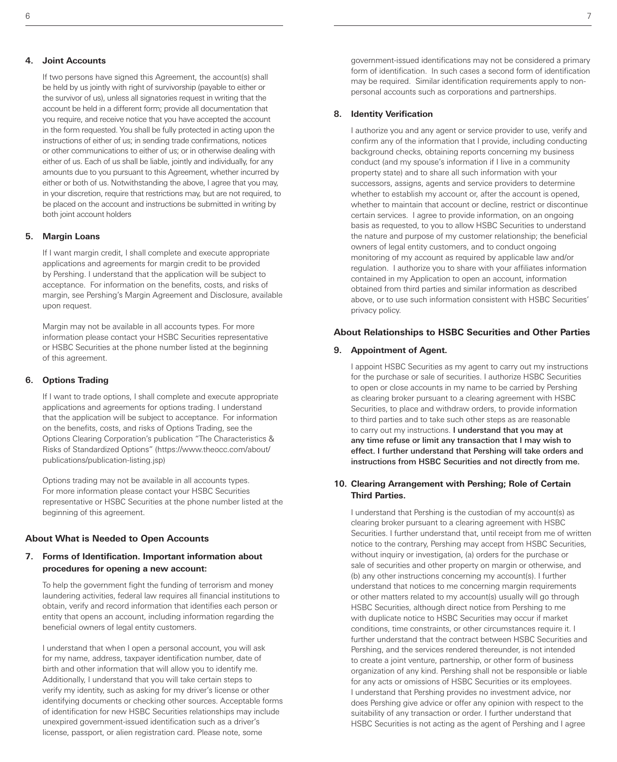#### **4. Joint Accounts**

If two persons have signed this Agreement, the account(s) shall be held by us jointly with right of survivorship (payable to either or the survivor of us), unless all signatories request in writing that the account be held in a different form; provide all documentation that you require, and receive notice that you have accepted the account in the form requested. You shall be fully protected in acting upon the instructions of either of us; in sending trade confirmations, notices or other communications to either of us; or in otherwise dealing with either of us. Each of us shall be liable, jointly and individually, for any amounts due to you pursuant to this Agreement, whether incurred by either or both of us. Notwithstanding the above, I agree that you may, in your discretion, require that restrictions may, but are not required, to be placed on the account and instructions be submitted in writing by both joint account holders

#### **5. Margin Loans**

If I want margin credit, I shall complete and execute appropriate applications and agreements for margin credit to be provided by Pershing. I understand that the application will be subject to acceptance. For information on the benefits, costs, and risks of margin, see Pershing's Margin Agreement and Disclosure, available upon request.

Margin may not be available in all accounts types. For more information please contact your HSBC Securities representative or HSBC Securities at the phone number listed at the beginning of this agreement.

#### **6. Options Trading**

If I want to trade options, I shall complete and execute appropriate applications and agreements for options trading. I understand that the application will be subject to acceptance. For information on the benefits, costs, and risks of Options Trading, see the Options Clearing Corporation's publication "The Characteristics & Risks of Standardized Options" (https://www.theocc.com/about/ publications/publication-listing.jsp)

Options trading may not be available in all accounts types. For more information please contact your HSBC Securities representative or HSBC Securities at the phone number listed at the beginning of this agreement.

#### **About What is Needed to Open Accounts**

# **7. Forms of Identification. Important information about procedures for opening a new account:**

To help the government fight the funding of terrorism and money laundering activities, federal law requires all financial institutions to obtain, verify and record information that identifies each person or entity that opens an account, including information regarding the beneficial owners of legal entity customers.

I understand that when I open a personal account, you will ask for my name, address, taxpayer identification number, date of birth and other information that will allow you to identify me. Additionally, I understand that you will take certain steps to verify my identity, such as asking for my driver's license or other identifying documents or checking other sources. Acceptable forms of identification for new HSBC Securities relationships may include unexpired government-issued identification such as a driver's license, passport, or alien registration card. Please note, some

government-issued identifications may not be considered a primary form of identification. In such cases a second form of identification may be required. Similar identification requirements apply to nonpersonal accounts such as corporations and partnerships.

#### **8. Identity Verification**

I authorize you and any agent or service provider to use, verify and confirm any of the information that I provide, including conducting background checks, obtaining reports concerning my business conduct (and my spouse's information if I live in a community property state) and to share all such information with your successors, assigns, agents and service providers to determine whether to establish my account or, after the account is opened, whether to maintain that account or decline, restrict or discontinue certain services. I agree to provide information, on an ongoing basis as requested, to you to allow HSBC Securities to understand the nature and purpose of my customer relationship; the beneficial owners of legal entity customers, and to conduct ongoing monitoring of my account as required by applicable law and/or regulation. I authorize you to share with your affiliates information contained in my Application to open an account, information obtained from third parties and similar information as described above, or to use such information consistent with HSBC Securities' privacy policy.

#### **About Relationships to HSBC Securities and Other Parties**

#### **9. Appointment of Agent.**

I appoint HSBC Securities as my agent to carry out my instructions for the purchase or sale of securities. I authorize HSBC Securities to open or close accounts in my name to be carried by Pershing as clearing broker pursuant to a clearing agreement with HSBC Securities, to place and withdraw orders, to provide information to third parties and to take such other steps as are reasonable to carry out my instructions. I understand that you may at any time refuse or limit any transaction that I may wish to effect. I further understand that Pershing will take orders and instructions from HSBC Securities and not directly from me.

# **10. Clearing Arrangement with Pershing; Role of Certain Third Parties.**

I understand that Pershing is the custodian of my account(s) as clearing broker pursuant to a clearing agreement with HSBC Securities. I further understand that, until receipt from me of written notice to the contrary, Pershing may accept from HSBC Securities, without inquiry or investigation, (a) orders for the purchase or sale of securities and other property on margin or otherwise, and (b) any other instructions concerning my account(s). I further understand that notices to me concerning margin requirements or other matters related to my account(s) usually will go through HSBC Securities, although direct notice from Pershing to me with duplicate notice to HSBC Securities may occur if market conditions, time constraints, or other circumstances require it. I further understand that the contract between HSBC Securities and Pershing, and the services rendered thereunder, is not intended to create a joint venture, partnership, or other form of business organization of any kind. Pershing shall not be responsible or liable for any acts or omissions of HSBC Securities or its employees. I understand that Pershing provides no investment advice, nor does Pershing give advice or offer any opinion with respect to the suitability of any transaction or order. I further understand that HSBC Securities is not acting as the agent of Pershing and I agree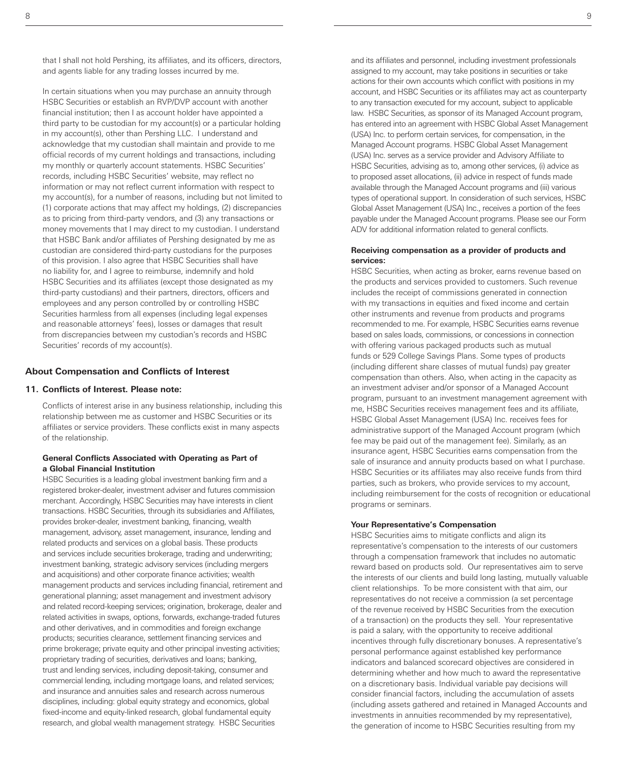that I shall not hold Pershing, its affiliates, and its officers, directors, and agents liable for any trading losses incurred by me.

In certain situations when you may purchase an annuity through HSBC Securities or establish an RVP/DVP account with another financial institution; then I as account holder have appointed a third party to be custodian for my account(s) or a particular holding in my account(s), other than Pershing LLC. I understand and acknowledge that my custodian shall maintain and provide to me official records of my current holdings and transactions, including my monthly or quarterly account statements. HSBC Securities' records, including HSBC Securities' website, may reflect no information or may not reflect current information with respect to my account(s), for a number of reasons, including but not limited to (1) corporate actions that may affect my holdings, (2) discrepancies as to pricing from third-party vendors, and (3) any transactions or money movements that I may direct to my custodian. I understand that HSBC Bank and/or affiliates of Pershing designated by me as custodian are considered third-party custodians for the purposes of this provision. I also agree that HSBC Securities shall have no liability for, and I agree to reimburse, indemnify and hold HSBC Securities and its affiliates (except those designated as my third-party custodians) and their partners, directors, officers and employees and any person controlled by or controlling HSBC Securities harmless from all expenses (including legal expenses and reasonable attorneys' fees), losses or damages that result from discrepancies between my custodian's records and HSBC Securities' records of my account(s).

#### **About Compensation and Conflicts of Interest**

#### **11. Conflicts of Interest. Please note:**

Conflicts of interest arise in any business relationship, including this relationship between me as customer and HSBC Securities or its affiliates or service providers. These conflicts exist in many aspects of the relationship.

#### **General Conflicts Associated with Operating as Part of a Global Financial Institution**

HSBC Securities is a leading global investment banking firm and a registered broker-dealer, investment adviser and futures commission merchant. Accordingly, HSBC Securities may have interests in client transactions. HSBC Securities, through its subsidiaries and Affiliates, provides broker-dealer, investment banking, financing, wealth management, advisory, asset management, insurance, lending and related products and services on a global basis. These products and services include securities brokerage, trading and underwriting; investment banking, strategic advisory services (including mergers and acquisitions) and other corporate finance activities; wealth management products and services including financial, retirement and generational planning; asset management and investment advisory and related record-keeping services; origination, brokerage, dealer and related activities in swaps, options, forwards, exchange-traded futures and other derivatives, and in commodities and foreign exchange products; securities clearance, settlement financing services and prime brokerage; private equity and other principal investing activities; proprietary trading of securities, derivatives and loans; banking, trust and lending services, including deposit-taking, consumer and commercial lending, including mortgage loans, and related services; and insurance and annuities sales and research across numerous disciplines, including: global equity strategy and economics, global fixed-income and equity-linked research, global fundamental equity research, and global wealth management strategy. HSBC Securities

and its affiliates and personnel, including investment professionals assigned to my account, may take positions in securities or take actions for their own accounts which conflict with positions in my account, and HSBC Securities or its affiliates may act as counterparty to any transaction executed for my account, subject to applicable law. HSBC Securities, as sponsor of its Managed Account program, has entered into an agreement with HSBC Global Asset Management (USA) Inc. to perform certain services, for compensation, in the Managed Account programs. HSBC Global Asset Management (USA) Inc. serves as a service provider and Advisory Affiliate to HSBC Securities, advising as to, among other services, (i) advice as to proposed asset allocations, (ii) advice in respect of funds made available through the Managed Account programs and (iii) various types of operational support. In consideration of such services, HSBC Global Asset Management (USA) Inc., receives a portion of the fees payable under the Managed Account programs. Please see our Form ADV for additional information related to general conflicts.

#### **Receiving compensation as a provider of products and services:**

HSBC Securities, when acting as broker, earns revenue based on the products and services provided to customers. Such revenue includes the receipt of commissions generated in connection with my transactions in equities and fixed income and certain other instruments and revenue from products and programs recommended to me. For example, HSBC Securities earns revenue based on sales loads, commissions, or concessions in connection with offering various packaged products such as mutual funds or 529 College Savings Plans. Some types of products (including different share classes of mutual funds) pay greater compensation than others. Also, when acting in the capacity as an investment adviser and/or sponsor of a Managed Account program, pursuant to an investment management agreement with me, HSBC Securities receives management fees and its affiliate, HSBC Global Asset Management (USA) Inc. receives fees for administrative support of the Managed Account program (which fee may be paid out of the management fee). Similarly, as an insurance agent, HSBC Securities earns compensation from the sale of insurance and annuity products based on what I purchase. HSBC Securities or its affiliates may also receive funds from third parties, such as brokers, who provide services to my account, including reimbursement for the costs of recognition or educational programs or seminars.

#### **Your Representative's Compensation**

HSBC Securities aims to mitigate conflicts and align its representative's compensation to the interests of our customers through a compensation framework that includes no automatic reward based on products sold. Our representatives aim to serve the interests of our clients and build long lasting, mutually valuable client relationships. To be more consistent with that aim, our representatives do not receive a commission (a set percentage of the revenue received by HSBC Securities from the execution of a transaction) on the products they sell. Your representative is paid a salary, with the opportunity to receive additional incentives through fully discretionary bonuses. A representative's personal performance against established key performance indicators and balanced scorecard objectives are considered in determining whether and how much to award the representative on a discretionary basis. Individual variable pay decisions will consider financial factors, including the accumulation of assets (including assets gathered and retained in Managed Accounts and investments in annuities recommended by my representative), the generation of income to HSBC Securities resulting from my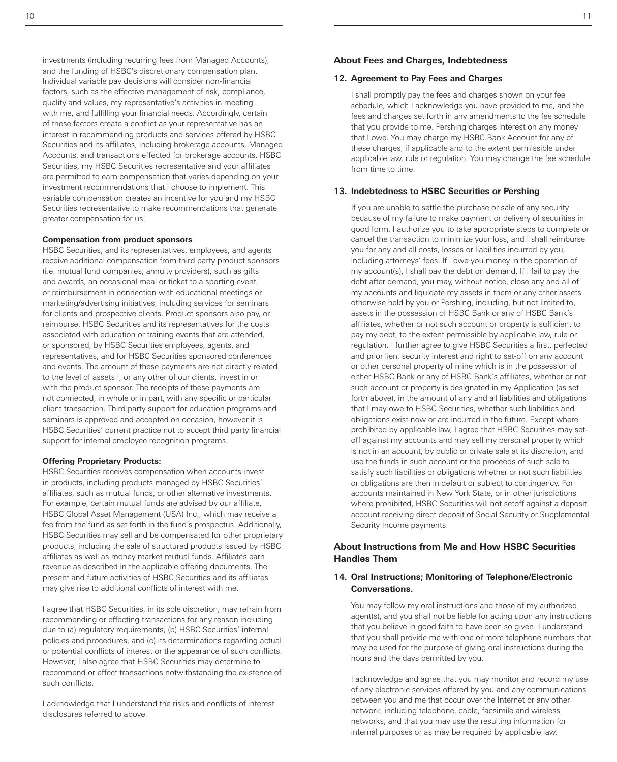investments (including recurring fees from Managed Accounts), and the funding of HSBC's discretionary compensation plan. Individual variable pay decisions will consider non-financial factors, such as the effective management of risk, compliance, quality and values, my representative's activities in meeting with me, and fulfilling your financial needs. Accordingly, certain of these factors create a conflict as your representative has an interest in recommending products and services offered by HSBC Securities and its affiliates, including brokerage accounts, Managed Accounts, and transactions effected for brokerage accounts. HSBC Securities, my HSBC Securities representative and your affiliates are permitted to earn compensation that varies depending on your investment recommendations that I choose to implement. This variable compensation creates an incentive for you and my HSBC Securities representative to make recommendations that generate greater compensation for us.

#### **Compensation from product sponsors**

HSBC Securities, and its representatives, employees, and agents receive additional compensation from third party product sponsors (i.e. mutual fund companies, annuity providers), such as gifts and awards, an occasional meal or ticket to a sporting event, or reimbursement in connection with educational meetings or marketing/advertising initiatives, including services for seminars for clients and prospective clients. Product sponsors also pay, or reimburse, HSBC Securities and its representatives for the costs associated with education or training events that are attended, or sponsored, by HSBC Securities employees, agents, and representatives, and for HSBC Securities sponsored conferences and events. The amount of these payments are not directly related to the level of assets I, or any other of our clients, invest in or with the product sponsor. The receipts of these payments are not connected, in whole or in part, with any specific or particular client transaction. Third party support for education programs and seminars is approved and accepted on occasion, however it is HSBC Securities' current practice not to accept third party financial support for internal employee recognition programs.

#### **Offering Proprietary Products:**

HSBC Securities receives compensation when accounts invest in products, including products managed by HSBC Securities' affiliates, such as mutual funds, or other alternative investments. For example, certain mutual funds are advised by our affiliate, HSBC Global Asset Management (USA) Inc., which may receive a fee from the fund as set forth in the fund's prospectus. Additionally, HSBC Securities may sell and be compensated for other proprietary products, including the sale of structured products issued by HSBC affiliates as well as money market mutual funds. Affiliates earn revenue as described in the applicable offering documents. The present and future activities of HSBC Securities and its affiliates may give rise to additional conflicts of interest with me.

I agree that HSBC Securities, in its sole discretion, may refrain from recommending or effecting transactions for any reason including due to (a) regulatory requirements, (b) HSBC Securities' internal policies and procedures, and (c) its determinations regarding actual or potential conflicts of interest or the appearance of such conflicts. However, I also agree that HSBC Securities may determine to recommend or effect transactions notwithstanding the existence of such conflicts.

I acknowledge that I understand the risks and conflicts of interest disclosures referred to above.

# **About Fees and Charges, Indebtedness**

#### **12. Agreement to Pay Fees and Charges**

I shall promptly pay the fees and charges shown on your fee schedule, which I acknowledge you have provided to me, and the fees and charges set forth in any amendments to the fee schedule that you provide to me. Pershing charges interest on any money that I owe. You may charge my HSBC Bank Account for any of these charges, if applicable and to the extent permissible under applicable law, rule or regulation. You may change the fee schedule from time to time.

#### **13. Indebtedness to HSBC Securities or Pershing**

If you are unable to settle the purchase or sale of any security because of my failure to make payment or delivery of securities in good form, I authorize you to take appropriate steps to complete or cancel the transaction to minimize your loss, and I shall reimburse you for any and all costs, losses or liabilities incurred by you, including attorneys' fees. If I owe you money in the operation of my account(s), I shall pay the debt on demand. If I fail to pay the debt after demand, you may, without notice, close any and all of my accounts and liquidate my assets in them or any other assets otherwise held by you or Pershing, including, but not limited to, assets in the possession of HSBC Bank or any of HSBC Bank's affiliates, whether or not such account or property is sufficient to pay my debt, to the extent permissible by applicable law, rule or regulation. I further agree to give HSBC Securities a first, perfected and prior lien, security interest and right to set-off on any account or other personal property of mine which is in the possession of either HSBC Bank or any of HSBC Bank's affiliates, whether or not such account or property is designated in my Application (as set forth above), in the amount of any and all liabilities and obligations that I may owe to HSBC Securities, whether such liabilities and obligations exist now or are incurred in the future. Except where prohibited by applicable law, I agree that HSBC Securities may setoff against my accounts and may sell my personal property which is not in an account, by public or private sale at its discretion, and use the funds in such account or the proceeds of such sale to satisfy such liabilities or obligations whether or not such liabilities or obligations are then in default or subject to contingency. For accounts maintained in New York State, or in other jurisdictions where prohibited, HSBC Securities will not setoff against a deposit account receiving direct deposit of Social Security or Supplemental Security Income payments.

# **About Instructions from Me and How HSBC Securities Handles Them**

# **14. Oral Instructions; Monitoring of Telephone/Electronic Conversations.**

You may follow my oral instructions and those of my authorized agent(s), and you shall not be liable for acting upon any instructions that you believe in good faith to have been so given. I understand that you shall provide me with one or more telephone numbers that may be used for the purpose of giving oral instructions during the hours and the days permitted by you.

I acknowledge and agree that you may monitor and record my use of any electronic services offered by you and any communications between you and me that occur over the Internet or any other network, including telephone, cable, facsimile and wireless networks, and that you may use the resulting information for internal purposes or as may be required by applicable law.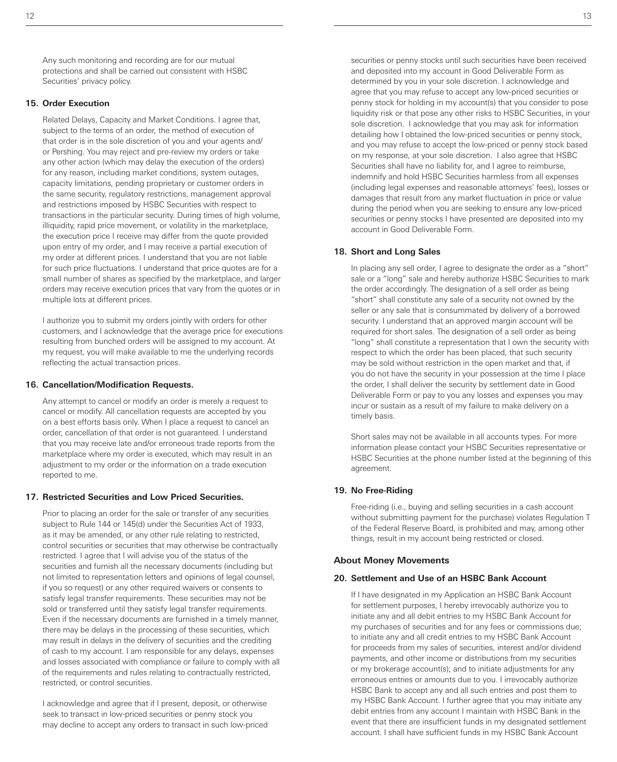Any such monitoring and recording are for our mutual protections and shall be carried out consistent with HSBC Securities' privacy policy.

#### **15. Order Execution**

Related Delays, Capacity and Market Conditions. I agree that, subject to the terms of an order, the method of execution of that order is in the sole discretion of you and your agents and/ or Pershing. You may reject and pre-review my orders or take any other action (which may delay the execution of the orders) for any reason, including market conditions, system outages, capacity limitations, pending proprietary or customer orders in the same security, regulatory restrictions, management approval and restrictions imposed by HSBC Securities with respect to transactions in the particular security. During times of high volume, illiquidity, rapid price movement, or volatility in the marketplace, the execution price I receive may differ from the quote provided upon entry of my order, and I may receive a partial execution of my order at different prices. I understand that you are not liable for such price fluctuations. I understand that price quotes are for a small number of shares as specified by the marketplace, and larger orders may receive execution prices that vary from the quotes or in multiple lots at different prices.

I authorize you to submit my orders jointly with orders for other customers, and I acknowledge that the average price for executions resulting from bunched orders will be assigned to my account. At my request, you will make available to me the underlying records reflecting the actual transaction prices.

#### **16. Cancellation/Modification Requests.**

Any attempt to cancel or modify an order is merely a request to cancel or modify. All cancellation requests are accepted by you on a best efforts basis only. When I place a request to cancel an order, cancellation of that order is not guaranteed. I understand that you may receive late and/or erroneous trade reports from the marketplace where my order is executed, which may result in an adjustment to my order or the information on a trade execution reported to me.

#### **17. Restricted Securities and Low Priced Securities.**

Prior to placing an order for the sale or transfer of any securities subject to Rule 144 or 145(d) under the Securities Act of 1933, as it may be amended, or any other rule relating to restricted, control securities or securities that may otherwise be contractually restricted. I agree that I will advise you of the status of the securities and furnish all the necessary documents (including but not limited to representation letters and opinions of legal counsel, if you so request) or any other required waivers or consents to satisfy legal transfer requirements. These securities may not be sold or transferred until they satisfy legal transfer requirements. Even if the necessary documents are furnished in a timely manner, there may be delays in the processing of these securities, which may result in delays in the delivery of securities and the crediting of cash to my account. I am responsible for any delays, expenses and losses associated with compliance or failure to comply with all of the requirements and rules relating to contractually restricted, restricted, or control securities.

I acknowledge and agree that if I present, deposit, or otherwise seek to transact in low-priced securities or penny stock you may decline to accept any orders to transact in such low-priced

securities or penny stocks until such securities have been received and deposited into my account in Good Deliverable Form as determined by you in your sole discretion. I acknowledge and agree that you may refuse to accept any low-priced securities or penny stock for holding in my account(s) that you consider to pose liquidity risk or that pose any other risks to HSBC Securities, in your sole discretion. I acknowledge that you may ask for information detailing how I obtained the low-priced securities or penny stock, and you may refuse to accept the low-priced or penny stock based on my response, at your sole discretion. I also agree that HSBC Securities shall have no liability for, and I agree to reimburse, indemnify and hold HSBC Securities harmless from all expenses (including legal expenses and reasonable attorneys' fees), losses or damages that result from any market fluctuation in price or value during the period when you are seeking to ensure any low-priced securities or penny stocks I have presented are deposited into my account in Good Deliverable Form.

#### **18. Short and Long Sales**

In placing any sell order, I agree to designate the order as a "short" sale or a "long" sale and hereby authorize HSBC Securities to mark the order accordingly. The designation of a sell order as being "short" shall constitute any sale of a security not owned by the seller or any sale that is consummated by delivery of a borrowed security. I understand that an approved margin account will be required for short sales. The designation of a sell order as being "long" shall constitute a representation that I own the security with respect to which the order has been placed, that such security may be sold without restriction in the open market and that, if you do not have the security in your possession at the time I place the order, I shall deliver the security by settlement date in Good Deliverable Form or pay to you any losses and expenses you may incur or sustain as a result of my failure to make delivery on a timely basis.

Short sales may not be available in all accounts types. For more information please contact your HSBC Securities representative or HSBC Securities at the phone number listed at the beginning of this agreement.

#### **19. No Free-Riding**

Free-riding (i.e., buying and selling securities in a cash account without submitting payment for the purchase) violates Regulation T of the Federal Reserve Board, is prohibited and may, among other things, result in my account being restricted or closed.

#### **About Money Movements**

#### **20. Settlement and Use of an HSBC Bank Account**

If I have designated in my Application an HSBC Bank Account for settlement purposes, I hereby irrevocably authorize you to initiate any and all debit entries to my HSBC Bank Account for my purchases of securities and for any fees or commissions due; to initiate any and all credit entries to my HSBC Bank Account for proceeds from my sales of securities, interest and/or dividend payments, and other income or distributions from my securities or my brokerage account(s); and to initiate adjustments for any erroneous entries or amounts due to you. I irrevocably authorize HSBC Bank to accept any and all such entries and post them to my HSBC Bank Account. I further agree that you may initiate any debit entries from any account I maintain with HSBC Bank in the event that there are insufficient funds in my designated settlement account. I shall have sufficient funds in my HSBC Bank Account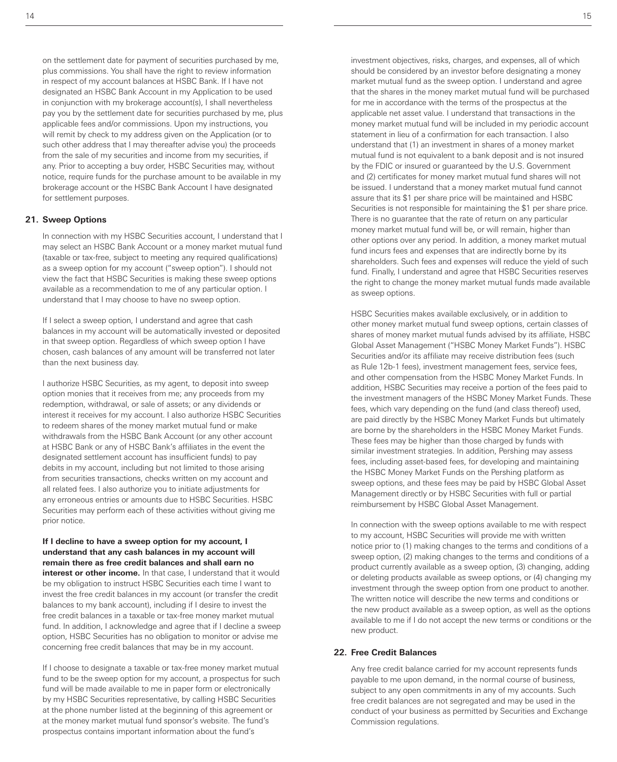on the settlement date for payment of securities purchased by me, plus commissions. You shall have the right to review information in respect of my account balances at HSBC Bank. If I have not designated an HSBC Bank Account in my Application to be used in conjunction with my brokerage account(s), I shall nevertheless pay you by the settlement date for securities purchased by me, plus applicable fees and/or commissions. Upon my instructions, you will remit by check to my address given on the Application (or to such other address that I may thereafter advise you) the proceeds from the sale of my securities and income from my securities, if any. Prior to accepting a buy order, HSBC Securities may, without notice, require funds for the purchase amount to be available in my brokerage account or the HSBC Bank Account I have designated for settlement purposes.

#### **21. Sweep Options**

In connection with my HSBC Securities account, I understand that I may select an HSBC Bank Account or a money market mutual fund (taxable or tax-free, subject to meeting any required qualifications) as a sweep option for my account ("sweep option"). I should not view the fact that HSBC Securities is making these sweep options available as a recommendation to me of any particular option. I understand that I may choose to have no sweep option.

If I select a sweep option, I understand and agree that cash balances in my account will be automatically invested or deposited in that sweep option. Regardless of which sweep option I have chosen, cash balances of any amount will be transferred not later than the next business day.

I authorize HSBC Securities, as my agent, to deposit into sweep option monies that it receives from me; any proceeds from my redemption, withdrawal, or sale of assets; or any dividends or interest it receives for my account. I also authorize HSBC Securities to redeem shares of the money market mutual fund or make withdrawals from the HSBC Bank Account (or any other account at HSBC Bank or any of HSBC Bank's affiliates in the event the designated settlement account has insufficient funds) to pay debits in my account, including but not limited to those arising from securities transactions, checks written on my account and all related fees. I also authorize you to initiate adjustments for any erroneous entries or amounts due to HSBC Securities. HSBC Securities may perform each of these activities without giving me prior notice.

**If I decline to have a sweep option for my account, I understand that any cash balances in my account will remain there as free credit balances and shall earn no interest or other income.** In that case, I understand that it would be my obligation to instruct HSBC Securities each time I want to invest the free credit balances in my account (or transfer the credit balances to my bank account), including if I desire to invest the free credit balances in a taxable or tax-free money market mutual fund. In addition, I acknowledge and agree that if I decline a sweep option, HSBC Securities has no obligation to monitor or advise me concerning free credit balances that may be in my account.

If I choose to designate a taxable or tax-free money market mutual fund to be the sweep option for my account, a prospectus for such fund will be made available to me in paper form or electronically by my HSBC Securities representative, by calling HSBC Securities at the phone number listed at the beginning of this agreement or at the money market mutual fund sponsor's website. The fund's prospectus contains important information about the fund's

investment objectives, risks, charges, and expenses, all of which should be considered by an investor before designating a money market mutual fund as the sweep option. I understand and agree that the shares in the money market mutual fund will be purchased for me in accordance with the terms of the prospectus at the applicable net asset value. I understand that transactions in the money market mutual fund will be included in my periodic account statement in lieu of a confirmation for each transaction. I also understand that (1) an investment in shares of a money market mutual fund is not equivalent to a bank deposit and is not insured by the FDIC or insured or guaranteed by the U.S. Government and (2) certificates for money market mutual fund shares will not be issued. I understand that a money market mutual fund cannot assure that its \$1 per share price will be maintained and HSBC Securities is not responsible for maintaining the \$1 per share price. There is no guarantee that the rate of return on any particular money market mutual fund will be, or will remain, higher than other options over any period. In addition, a money market mutual fund incurs fees and expenses that are indirectly borne by its shareholders. Such fees and expenses will reduce the yield of such fund. Finally, I understand and agree that HSBC Securities reserves the right to change the money market mutual funds made available as sweep options.

HSBC Securities makes available exclusively, or in addition to other money market mutual fund sweep options, certain classes of shares of money market mutual funds advised by its affiliate, HSBC Global Asset Management ("HSBC Money Market Funds"). HSBC Securities and/or its affiliate may receive distribution fees (such as Rule 12b-1 fees), investment management fees, service fees, and other compensation from the HSBC Money Market Funds. In addition, HSBC Securities may receive a portion of the fees paid to the investment managers of the HSBC Money Market Funds. These fees, which vary depending on the fund (and class thereof) used, are paid directly by the HSBC Money Market Funds but ultimately are borne by the shareholders in the HSBC Money Market Funds. These fees may be higher than those charged by funds with similar investment strategies. In addition, Pershing may assess fees, including asset-based fees, for developing and maintaining the HSBC Money Market Funds on the Pershing platform as sweep options, and these fees may be paid by HSBC Global Asset Management directly or by HSBC Securities with full or partial reimbursement by HSBC Global Asset Management.

In connection with the sweep options available to me with respect to my account, HSBC Securities will provide me with written notice prior to (1) making changes to the terms and conditions of a sweep option, (2) making changes to the terms and conditions of a product currently available as a sweep option, (3) changing, adding or deleting products available as sweep options, or (4) changing my investment through the sweep option from one product to another. The written notice will describe the new terms and conditions or the new product available as a sweep option, as well as the options available to me if I do not accept the new terms or conditions or the new product.

#### **22. Free Credit Balances**

Any free credit balance carried for my account represents funds payable to me upon demand, in the normal course of business, subject to any open commitments in any of my accounts. Such free credit balances are not segregated and may be used in the conduct of your business as permitted by Securities and Exchange Commission regulations.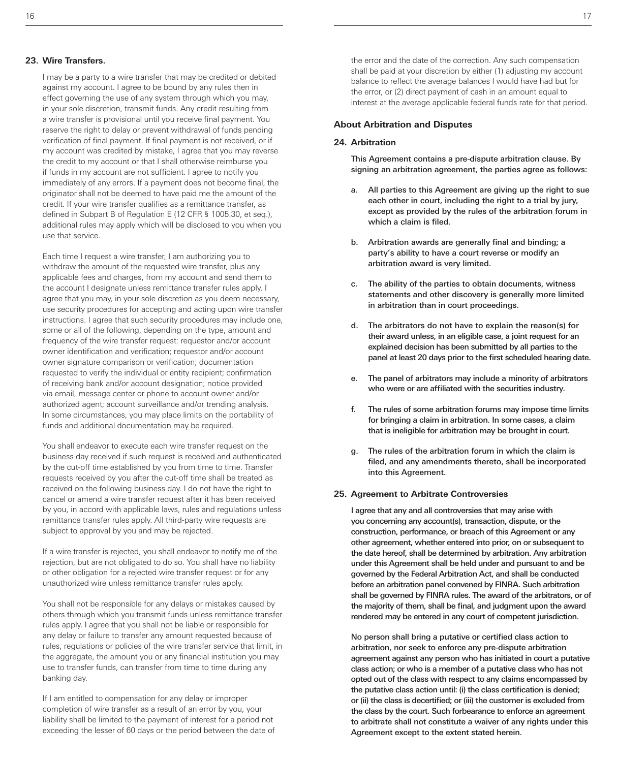#### **23. Wire Transfers.**

I may be a party to a wire transfer that may be credited or debited against my account. I agree to be bound by any rules then in effect governing the use of any system through which you may, in your sole discretion, transmit funds. Any credit resulting from a wire transfer is provisional until you receive final payment. You reserve the right to delay or prevent withdrawal of funds pending verification of final payment. If final payment is not received, or if my account was credited by mistake, I agree that you may reverse the credit to my account or that I shall otherwise reimburse you if funds in my account are not sufficient. I agree to notify you immediately of any errors. If a payment does not become final, the originator shall not be deemed to have paid me the amount of the credit. If your wire transfer qualifies as a remittance transfer, as defined in Subpart B of Regulation E (12 CFR § 1005.30, et seq.), additional rules may apply which will be disclosed to you when you use that service.

Each time I request a wire transfer, I am authorizing you to withdraw the amount of the requested wire transfer, plus any applicable fees and charges, from my account and send them to the account I designate unless remittance transfer rules apply. I agree that you may, in your sole discretion as you deem necessary, use security procedures for accepting and acting upon wire transfer instructions. I agree that such security procedures may include one, some or all of the following, depending on the type, amount and frequency of the wire transfer request: requestor and/or account owner identification and verification; requestor and/or account owner signature comparison or verification; documentation requested to verify the individual or entity recipient; confirmation of receiving bank and/or account designation; notice provided via email, message center or phone to account owner and/or authorized agent; account surveillance and/or trending analysis. In some circumstances, you may place limits on the portability of funds and additional documentation may be required.

You shall endeavor to execute each wire transfer request on the business day received if such request is received and authenticated by the cut-off time established by you from time to time. Transfer requests received by you after the cut-off time shall be treated as received on the following business day. I do not have the right to cancel or amend a wire transfer request after it has been received by you, in accord with applicable laws, rules and regulations unless remittance transfer rules apply. All third-party wire requests are subject to approval by you and may be rejected.

If a wire transfer is rejected, you shall endeavor to notify me of the rejection, but are not obligated to do so. You shall have no liability or other obligation for a rejected wire transfer request or for any unauthorized wire unless remittance transfer rules apply.

You shall not be responsible for any delays or mistakes caused by others through which you transmit funds unless remittance transfer rules apply. I agree that you shall not be liable or responsible for any delay or failure to transfer any amount requested because of rules, regulations or policies of the wire transfer service that limit, in the aggregate, the amount you or any financial institution you may use to transfer funds, can transfer from time to time during any banking day.

If I am entitled to compensation for any delay or improper completion of wire transfer as a result of an error by you, your liability shall be limited to the payment of interest for a period not exceeding the lesser of 60 days or the period between the date of

the error and the date of the correction. Any such compensation shall be paid at your discretion by either (1) adjusting my account balance to reflect the average balances I would have had but for the error, or (2) direct payment of cash in an amount equal to interest at the average applicable federal funds rate for that period.

#### **About Arbitration and Disputes**

#### **24. Arbitration**

This Agreement contains a pre-dispute arbitration clause. By signing an arbitration agreement, the parties agree as follows:

- a. All parties to this Agreement are giving up the right to sue each other in court, including the right to a trial by jury, except as provided by the rules of the arbitration forum in which a claim is filed.
- b. Arbitration awards are generally final and binding; a party's ability to have a court reverse or modify an arbitration award is very limited.
- c. The ability of the parties to obtain documents, witness statements and other discovery is generally more limited in arbitration than in court proceedings.
- d. The arbitrators do not have to explain the reason(s) for their award unless, in an eligible case, a joint request for an explained decision has been submitted by all parties to the panel at least 20 days prior to the first scheduled hearing date.
- The panel of arbitrators may include a minority of arbitrators who were or are affiliated with the securities industry.
- f. The rules of some arbitration forums may impose time limits for bringing a claim in arbitration. In some cases, a claim that is ineligible for arbitration may be brought in court.
- g. The rules of the arbitration forum in which the claim is filed, and any amendments thereto, shall be incorporated into this Agreement.

#### **25. Agreement to Arbitrate Controversies**

I agree that any and all controversies that may arise with you concerning any account(s), transaction, dispute, or the construction, performance, or breach of this Agreement or any other agreement, whether entered into prior, on or subsequent to the date hereof, shall be determined by arbitration. Any arbitration under this Agreement shall be held under and pursuant to and be governed by the Federal Arbitration Act, and shall be conducted before an arbitration panel convened by FINRA. Such arbitration shall be governed by FINRA rules. The award of the arbitrators, or of the majority of them, shall be final, and judgment upon the award rendered may be entered in any court of competent jurisdiction.

No person shall bring a putative or certified class action to arbitration, nor seek to enforce any pre-dispute arbitration agreement against any person who has initiated in court a putative class action; or who is a member of a putative class who has not opted out of the class with respect to any claims encompassed by the putative class action until: (i) the class certification is denied; or (ii) the class is decertified; or (iii) the customer is excluded from the class by the court. Such forbearance to enforce an agreement to arbitrate shall not constitute a waiver of any rights under this Agreement except to the extent stated herein.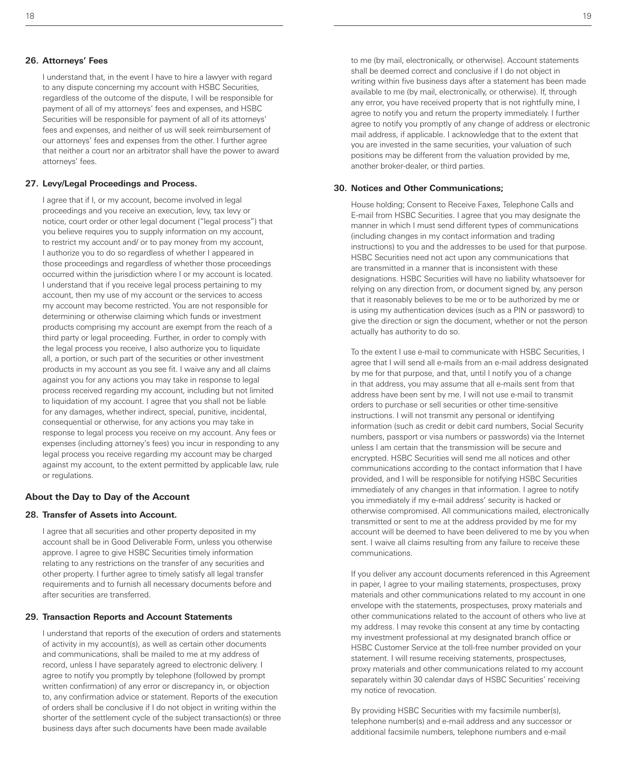#### **26. Attorneys' Fees**

I understand that, in the event I have to hire a lawyer with regard to any dispute concerning my account with HSBC Securities, regardless of the outcome of the dispute, I will be responsible for payment of all of my attorneys' fees and expenses, and HSBC Securities will be responsible for payment of all of its attorneys' fees and expenses, and neither of us will seek reimbursement of our attorneys' fees and expenses from the other. I further agree that neither a court nor an arbitrator shall have the power to award attorneys' fees.

#### **27. Levy/Legal Proceedings and Process.**

I agree that if I, or my account, become involved in legal proceedings and you receive an execution, levy, tax levy or notice, court order or other legal document ("legal process") that you believe requires you to supply information on my account, to restrict my account and/ or to pay money from my account, I authorize you to do so regardless of whether I appeared in those proceedings and regardless of whether those proceedings occurred within the jurisdiction where I or my account is located. I understand that if you receive legal process pertaining to my account, then my use of my account or the services to access my account may become restricted. You are not responsible for determining or otherwise claiming which funds or investment products comprising my account are exempt from the reach of a third party or legal proceeding. Further, in order to comply with the legal process you receive, I also authorize you to liquidate all, a portion, or such part of the securities or other investment products in my account as you see fit. I waive any and all claims against you for any actions you may take in response to legal process received regarding my account, including but not limited to liquidation of my account. I agree that you shall not be liable for any damages, whether indirect, special, punitive, incidental, consequential or otherwise, for any actions you may take in response to legal process you receive on my account. Any fees or expenses (including attorney's fees) you incur in responding to any legal process you receive regarding my account may be charged against my account, to the extent permitted by applicable law, rule or regulations.

#### **About the Day to Day of the Account**

#### **28. Transfer of Assets into Account.**

I agree that all securities and other property deposited in my account shall be in Good Deliverable Form, unless you otherwise approve. I agree to give HSBC Securities timely information relating to any restrictions on the transfer of any securities and other property. I further agree to timely satisfy all legal transfer requirements and to furnish all necessary documents before and after securities are transferred.

#### **29. Transaction Reports and Account Statements**

I understand that reports of the execution of orders and statements of activity in my account(s), as well as certain other documents and communications, shall be mailed to me at my address of record, unless I have separately agreed to electronic delivery. I agree to notify you promptly by telephone (followed by prompt written confirmation) of any error or discrepancy in, or objection to, any confirmation advice or statement. Reports of the execution of orders shall be conclusive if I do not object in writing within the shorter of the settlement cycle of the subject transaction(s) or three business days after such documents have been made available

to me (by mail, electronically, or otherwise). Account statements shall be deemed correct and conclusive if I do not object in writing within five business days after a statement has been made available to me (by mail, electronically, or otherwise). If, through any error, you have received property that is not rightfully mine, I agree to notify you and return the property immediately. I further agree to notify you promptly of any change of address or electronic mail address, if applicable. I acknowledge that to the extent that you are invested in the same securities, your valuation of such positions may be different from the valuation provided by me, another broker-dealer, or third parties.

#### **30. Notices and Other Communications;**

House holding; Consent to Receive Faxes, Telephone Calls and E-mail from HSBC Securities. I agree that you may designate the manner in which I must send different types of communications (including changes in my contact information and trading instructions) to you and the addresses to be used for that purpose. HSBC Securities need not act upon any communications that are transmitted in a manner that is inconsistent with these designations. HSBC Securities will have no liability whatsoever for relying on any direction from, or document signed by, any person that it reasonably believes to be me or to be authorized by me or is using my authentication devices (such as a PIN or password) to give the direction or sign the document, whether or not the person actually has authority to do so.

To the extent I use e-mail to communicate with HSBC Securities, I agree that I will send all e-mails from an e-mail address designated by me for that purpose, and that, until I notify you of a change in that address, you may assume that all e-mails sent from that address have been sent by me. I will not use e-mail to transmit orders to purchase or sell securities or other time-sensitive instructions. I will not transmit any personal or identifying information (such as credit or debit card numbers, Social Security numbers, passport or visa numbers or passwords) via the Internet unless I am certain that the transmission will be secure and encrypted. HSBC Securities will send me all notices and other communications according to the contact information that I have provided, and I will be responsible for notifying HSBC Securities immediately of any changes in that information. I agree to notify you immediately if my e-mail address' security is hacked or otherwise compromised. All communications mailed, electronically transmitted or sent to me at the address provided by me for my account will be deemed to have been delivered to me by you when sent. I waive all claims resulting from any failure to receive these communications.

If you deliver any account documents referenced in this Agreement in paper, I agree to your mailing statements, prospectuses, proxy materials and other communications related to my account in one envelope with the statements, prospectuses, proxy materials and other communications related to the account of others who live at my address. I may revoke this consent at any time by contacting my investment professional at my designated branch office or HSBC Customer Service at the toll-free number provided on your statement. I will resume receiving statements, prospectuses, proxy materials and other communications related to my account separately within 30 calendar days of HSBC Securities' receiving my notice of revocation.

By providing HSBC Securities with my facsimile number(s), telephone number(s) and e-mail address and any successor or additional facsimile numbers, telephone numbers and e-mail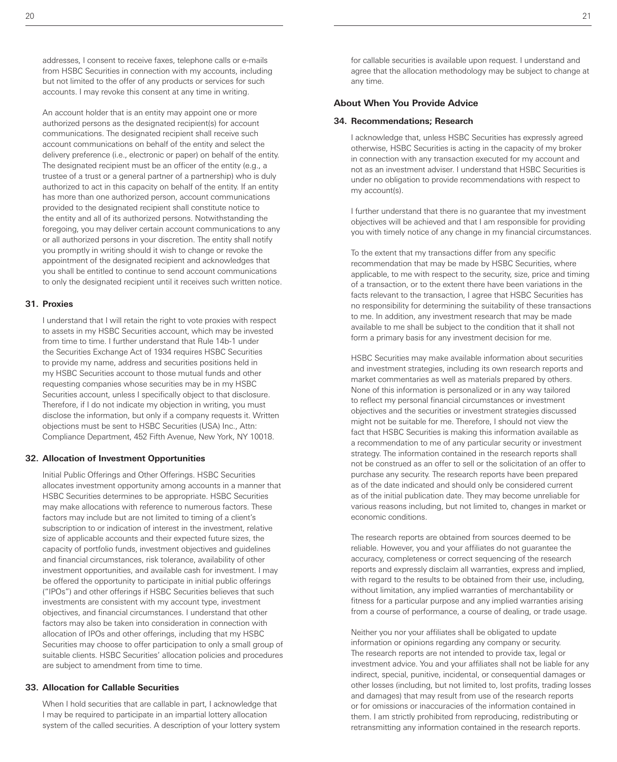addresses, I consent to receive faxes, telephone calls or e-mails from HSBC Securities in connection with my accounts, including but not limited to the offer of any products or services for such accounts. I may revoke this consent at any time in writing.

An account holder that is an entity may appoint one or more authorized persons as the designated recipient(s) for account communications. The designated recipient shall receive such account communications on behalf of the entity and select the delivery preference (i.e., electronic or paper) on behalf of the entity. The designated recipient must be an officer of the entity (e.g., a trustee of a trust or a general partner of a partnership) who is duly authorized to act in this capacity on behalf of the entity. If an entity has more than one authorized person, account communications provided to the designated recipient shall constitute notice to the entity and all of its authorized persons. Notwithstanding the foregoing, you may deliver certain account communications to any or all authorized persons in your discretion. The entity shall notify you promptly in writing should it wish to change or revoke the appointment of the designated recipient and acknowledges that you shall be entitled to continue to send account communications to only the designated recipient until it receives such written notice.

#### **31. Proxies**

I understand that I will retain the right to vote proxies with respect to assets in my HSBC Securities account, which may be invested from time to time. I further understand that Rule 14b-1 under the Securities Exchange Act of 1934 requires HSBC Securities to provide my name, address and securities positions held in my HSBC Securities account to those mutual funds and other requesting companies whose securities may be in my HSBC Securities account, unless I specifically object to that disclosure. Therefore, if I do not indicate my objection in writing, you must disclose the information, but only if a company requests it. Written objections must be sent to HSBC Securities (USA) Inc., Attn: Compliance Department, 452 Fifth Avenue, New York, NY 10018.

#### **32. Allocation of Investment Opportunities**

Initial Public Offerings and Other Offerings. HSBC Securities allocates investment opportunity among accounts in a manner that HSBC Securities determines to be appropriate. HSBC Securities may make allocations with reference to numerous factors. These factors may include but are not limited to timing of a client's subscription to or indication of interest in the investment, relative size of applicable accounts and their expected future sizes, the capacity of portfolio funds, investment objectives and guidelines and financial circumstances, risk tolerance, availability of other investment opportunities, and available cash for investment. I may be offered the opportunity to participate in initial public offerings ("IPOs") and other offerings if HSBC Securities believes that such investments are consistent with my account type, investment objectives, and financial circumstances. I understand that other factors may also be taken into consideration in connection with allocation of IPOs and other offerings, including that my HSBC Securities may choose to offer participation to only a small group of suitable clients. HSBC Securities' allocation policies and procedures are subject to amendment from time to time.

#### **33. Allocation for Callable Securities**

When I hold securities that are callable in part, I acknowledge that I may be required to participate in an impartial lottery allocation system of the called securities. A description of your lottery system

for callable securities is available upon request. I understand and agree that the allocation methodology may be subject to change at any time.

#### **About When You Provide Advice**

#### **34. Recommendations; Research**

I acknowledge that, unless HSBC Securities has expressly agreed otherwise, HSBC Securities is acting in the capacity of my broker in connection with any transaction executed for my account and not as an investment adviser. I understand that HSBC Securities is under no obligation to provide recommendations with respect to my account(s).

I further understand that there is no guarantee that my investment objectives will be achieved and that I am responsible for providing you with timely notice of any change in my financial circumstances.

To the extent that my transactions differ from any specific recommendation that may be made by HSBC Securities, where applicable, to me with respect to the security, size, price and timing of a transaction, or to the extent there have been variations in the facts relevant to the transaction, I agree that HSBC Securities has no responsibility for determining the suitability of these transactions to me. In addition, any investment research that may be made available to me shall be subject to the condition that it shall not form a primary basis for any investment decision for me.

HSBC Securities may make available information about securities and investment strategies, including its own research reports and market commentaries as well as materials prepared by others. None of this information is personalized or in any way tailored to reflect my personal financial circumstances or investment objectives and the securities or investment strategies discussed might not be suitable for me. Therefore, I should not view the fact that HSBC Securities is making this information available as a recommendation to me of any particular security or investment strategy. The information contained in the research reports shall not be construed as an offer to sell or the solicitation of an offer to purchase any security. The research reports have been prepared as of the date indicated and should only be considered current as of the initial publication date. They may become unreliable for various reasons including, but not limited to, changes in market or economic conditions.

The research reports are obtained from sources deemed to be reliable. However, you and your affiliates do not guarantee the accuracy, completeness or correct sequencing of the research reports and expressly disclaim all warranties, express and implied, with regard to the results to be obtained from their use, including, without limitation, any implied warranties of merchantability or fitness for a particular purpose and any implied warranties arising from a course of performance, a course of dealing, or trade usage.

Neither you nor your affiliates shall be obligated to update information or opinions regarding any company or security. The research reports are not intended to provide tax, legal or investment advice. You and your affiliates shall not be liable for any indirect, special, punitive, incidental, or consequential damages or other losses (including, but not limited to, lost profits, trading losses and damages) that may result from use of the research reports or for omissions or inaccuracies of the information contained in them. I am strictly prohibited from reproducing, redistributing or retransmitting any information contained in the research reports.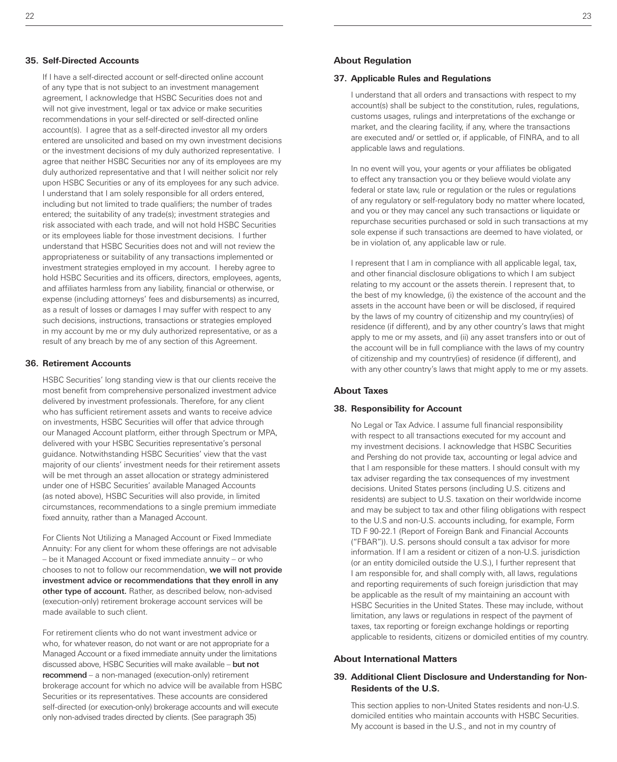#### **35. Self-Directed Accounts**

If I have a self-directed account or self-directed online account of any type that is not subject to an investment management agreement, I acknowledge that HSBC Securities does not and will not give investment, legal or tax advice or make securities recommendations in your self-directed or self-directed online account(s). I agree that as a self-directed investor all my orders entered are unsolicited and based on my own investment decisions or the investment decisions of my duly authorized representative. I agree that neither HSBC Securities nor any of its employees are my duly authorized representative and that I will neither solicit nor rely upon HSBC Securities or any of its employees for any such advice. I understand that I am solely responsible for all orders entered, including but not limited to trade qualifiers; the number of trades entered; the suitability of any trade(s); investment strategies and risk associated with each trade, and will not hold HSBC Securities or its employees liable for those investment decisions. I further understand that HSBC Securities does not and will not review the appropriateness or suitability of any transactions implemented or investment strategies employed in my account. I hereby agree to hold HSBC Securities and its officers, directors, employees, agents, and affiliates harmless from any liability, financial or otherwise, or expense (including attorneys' fees and disbursements) as incurred, as a result of losses or damages I may suffer with respect to any such decisions, instructions, transactions or strategies employed in my account by me or my duly authorized representative, or as a result of any breach by me of any section of this Agreement.

#### **36. Retirement Accounts**

HSBC Securities' long standing view is that our clients receive the most benefit from comprehensive personalized investment advice delivered by investment professionals. Therefore, for any client who has sufficient retirement assets and wants to receive advice on investments, HSBC Securities will offer that advice through our Managed Account platform, either through Spectrum or MPA, delivered with your HSBC Securities representative's personal guidance. Notwithstanding HSBC Securities' view that the vast majority of our clients' investment needs for their retirement assets will be met through an asset allocation or strategy administered under one of HSBC Securities' available Managed Accounts (as noted above), HSBC Securities will also provide, in limited circumstances, recommendations to a single premium immediate fixed annuity, rather than a Managed Account.

For Clients Not Utilizing a Managed Account or Fixed Immediate Annuity: For any client for whom these offerings are not advisable – be it Managed Account or fixed immediate annuity – or who chooses to not to follow our recommendation, we will not provide investment advice or recommendations that they enroll in any other type of account. Rather, as described below, non-advised (execution-only) retirement brokerage account services will be made available to such client.

For retirement clients who do not want investment advice or who, for whatever reason, do not want or are not appropriate for a Managed Account or a fixed immediate annuity under the limitations discussed above, HSBC Securities will make available – but not recommend – a non-managed (execution-only) retirement brokerage account for which no advice will be available from HSBC Securities or its representatives. These accounts are considered self-directed (or execution-only) brokerage accounts and will execute only non-advised trades directed by clients. (See paragraph 35)

#### **About Regulation**

#### **37. Applicable Rules and Regulations**

I understand that all orders and transactions with respect to my account(s) shall be subject to the constitution, rules, regulations, customs usages, rulings and interpretations of the exchange or market, and the clearing facility, if any, where the transactions are executed and/ or settled or, if applicable, of FINRA, and to all applicable laws and regulations.

In no event will you, your agents or your affiliates be obligated to effect any transaction you or they believe would violate any federal or state law, rule or regulation or the rules or regulations of any regulatory or self-regulatory body no matter where located, and you or they may cancel any such transactions or liquidate or repurchase securities purchased or sold in such transactions at my sole expense if such transactions are deemed to have violated, or be in violation of, any applicable law or rule.

I represent that I am in compliance with all applicable legal, tax, and other financial disclosure obligations to which I am subject relating to my account or the assets therein. I represent that, to the best of my knowledge, (i) the existence of the account and the assets in the account have been or will be disclosed, if required by the laws of my country of citizenship and my country(ies) of residence (if different), and by any other country's laws that might apply to me or my assets, and (ii) any asset transfers into or out of the account will be in full compliance with the laws of my country of citizenship and my country(ies) of residence (if different), and with any other country's laws that might apply to me or my assets.

#### **About Taxes**

#### **38. Responsibility for Account**

No Legal or Tax Advice. I assume full financial responsibility with respect to all transactions executed for my account and my investment decisions. I acknowledge that HSBC Securities and Pershing do not provide tax, accounting or legal advice and that I am responsible for these matters. I should consult with my tax adviser regarding the tax consequences of my investment decisions. United States persons (including U.S. citizens and residents) are subject to U.S. taxation on their worldwide income and may be subject to tax and other filing obligations with respect to the U.S and non-U.S. accounts including, for example, Form TD F 90-22.1 (Report of Foreign Bank and Financial Accounts ("FBAR")). U.S. persons should consult a tax advisor for more information. If I am a resident or citizen of a non-U.S. jurisdiction (or an entity domiciled outside the U.S.), I further represent that I am responsible for, and shall comply with, all laws, regulations and reporting requirements of such foreign jurisdiction that may be applicable as the result of my maintaining an account with HSBC Securities in the United States. These may include, without limitation, any laws or regulations in respect of the payment of taxes, tax reporting or foreign exchange holdings or reporting applicable to residents, citizens or domiciled entities of my country.

#### **About International Matters**

# **39. Additional Client Disclosure and Understanding for Non-Residents of the U.S.**

This section applies to non-United States residents and non-U.S. domiciled entities who maintain accounts with HSBC Securities. My account is based in the U.S., and not in my country of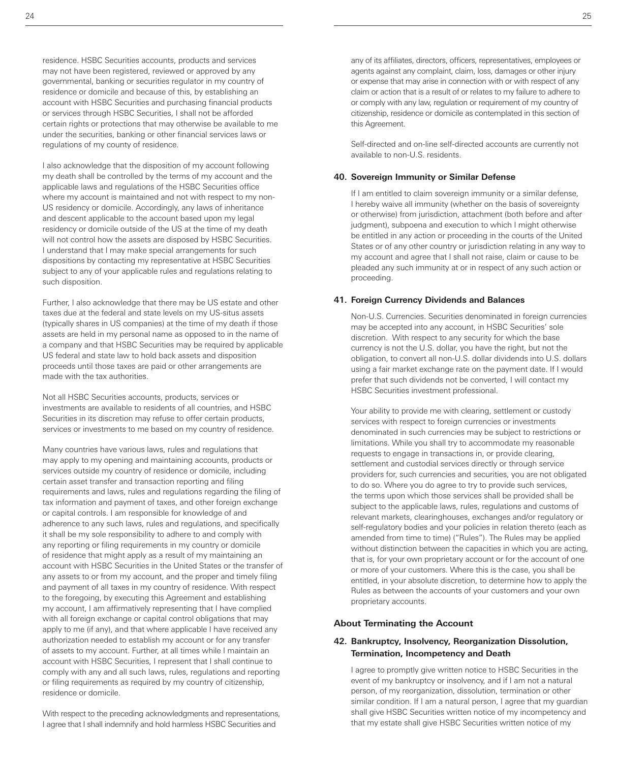I also acknowledge that the disposition of my account following my death shall be controlled by the terms of my account and the applicable laws and regulations of the HSBC Securities office where my account is maintained and not with respect to my non-US residency or domicile. Accordingly, any laws of inheritance and descent applicable to the account based upon my legal residency or domicile outside of the US at the time of my death will not control how the assets are disposed by HSBC Securities. I understand that I may make special arrangements for such dispositions by contacting my representative at HSBC Securities subject to any of your applicable rules and regulations relating to such disposition.

Further, I also acknowledge that there may be US estate and other taxes due at the federal and state levels on my US-situs assets (typically shares in US companies) at the time of my death if those assets are held in my personal name as opposed to in the name of a company and that HSBC Securities may be required by applicable US federal and state law to hold back assets and disposition proceeds until those taxes are paid or other arrangements are made with the tax authorities.

Not all HSBC Securities accounts, products, services or investments are available to residents of all countries, and HSBC Securities in its discretion may refuse to offer certain products, services or investments to me based on my country of residence.

Many countries have various laws, rules and regulations that may apply to my opening and maintaining accounts, products or services outside my country of residence or domicile, including certain asset transfer and transaction reporting and filing requirements and laws, rules and regulations regarding the filing of tax information and payment of taxes, and other foreign exchange or capital controls. I am responsible for knowledge of and adherence to any such laws, rules and regulations, and specifically it shall be my sole responsibility to adhere to and comply with any reporting or filing requirements in my country or domicile of residence that might apply as a result of my maintaining an account with HSBC Securities in the United States or the transfer of any assets to or from my account, and the proper and timely filing and payment of all taxes in my country of residence. With respect to the foregoing, by executing this Agreement and establishing my account, I am affirmatively representing that I have complied with all foreign exchange or capital control obligations that may apply to me (if any), and that where applicable I have received any authorization needed to establish my account or for any transfer of assets to my account. Further, at all times while I maintain an account with HSBC Securities, I represent that I shall continue to comply with any and all such laws, rules, regulations and reporting or filing requirements as required by my country of citizenship, residence or domicile.

With respect to the preceding acknowledgments and representations, I agree that I shall indemnify and hold harmless HSBC Securities and

any of its affiliates, directors, officers, representatives, employees or agents against any complaint, claim, loss, damages or other injury or expense that may arise in connection with or with respect of any claim or action that is a result of or relates to my failure to adhere to or comply with any law, regulation or requirement of my country of citizenship, residence or domicile as contemplated in this section of this Agreement.

Self-directed and on-line self-directed accounts are currently not available to non-U.S. residents.

# **40. Sovereign Immunity or Similar Defense**

If I am entitled to claim sovereign immunity or a similar defense, I hereby waive all immunity (whether on the basis of sovereignty or otherwise) from jurisdiction, attachment (both before and after judgment), subpoena and execution to which I might otherwise be entitled in any action or proceeding in the courts of the United States or of any other country or jurisdiction relating in any way to my account and agree that I shall not raise, claim or cause to be pleaded any such immunity at or in respect of any such action or proceeding.

# **41. Foreign Currency Dividends and Balances**

Non-U.S. Currencies. Securities denominated in foreign currencies may be accepted into any account, in HSBC Securities' sole discretion. With respect to any security for which the base currency is not the U.S. dollar, you have the right, but not the obligation, to convert all non-U.S. dollar dividends into U.S. dollars using a fair market exchange rate on the payment date. If I would prefer that such dividends not be converted, I will contact my HSBC Securities investment professional.

Your ability to provide me with clearing, settlement or custody services with respect to foreign currencies or investments denominated in such currencies may be subject to restrictions or limitations. While you shall try to accommodate my reasonable requests to engage in transactions in, or provide clearing, settlement and custodial services directly or through service providers for, such currencies and securities, you are not obligated to do so. Where you do agree to try to provide such services, the terms upon which those services shall be provided shall be subject to the applicable laws, rules, regulations and customs of relevant markets, clearinghouses, exchanges and/or regulatory or self-regulatory bodies and your policies in relation thereto (each as amended from time to time) ("Rules"). The Rules may be applied without distinction between the capacities in which you are acting, that is, for your own proprietary account or for the account of one or more of your customers. Where this is the case, you shall be entitled, in your absolute discretion, to determine how to apply the Rules as between the accounts of your customers and your own proprietary accounts.

# **About Terminating the Account**

# **42. Bankruptcy, Insolvency, Reorganization Dissolution, Termination, Incompetency and Death**

I agree to promptly give written notice to HSBC Securities in the event of my bankruptcy or insolvency, and if I am not a natural person, of my reorganization, dissolution, termination or other similar condition. If I am a natural person, I agree that my guardian shall give HSBC Securities written notice of my incompetency and that my estate shall give HSBC Securities written notice of my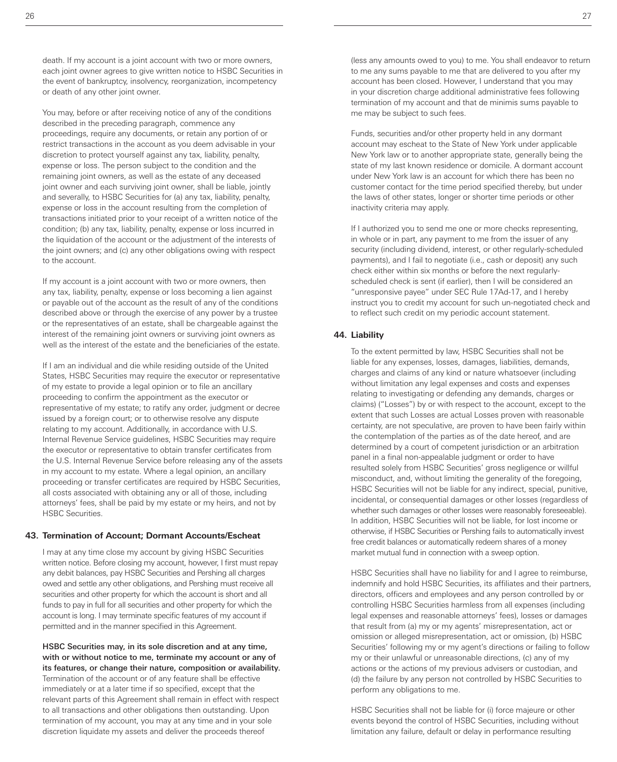You may, before or after receiving notice of any of the conditions described in the preceding paragraph, commence any proceedings, require any documents, or retain any portion of or restrict transactions in the account as you deem advisable in your discretion to protect yourself against any tax, liability, penalty, expense or loss. The person subject to the condition and the remaining joint owners, as well as the estate of any deceased joint owner and each surviving joint owner, shall be liable, jointly and severally, to HSBC Securities for (a) any tax, liability, penalty, expense or loss in the account resulting from the completion of transactions initiated prior to your receipt of a written notice of the condition; (b) any tax, liability, penalty, expense or loss incurred in the liquidation of the account or the adjustment of the interests of the joint owners; and (c) any other obligations owing with respect to the account.

If my account is a joint account with two or more owners, then any tax, liability, penalty, expense or loss becoming a lien against or payable out of the account as the result of any of the conditions described above or through the exercise of any power by a trustee or the representatives of an estate, shall be chargeable against the interest of the remaining joint owners or surviving joint owners as well as the interest of the estate and the beneficiaries of the estate.

If I am an individual and die while residing outside of the United States, HSBC Securities may require the executor or representative of my estate to provide a legal opinion or to file an ancillary proceeding to confirm the appointment as the executor or representative of my estate; to ratify any order, judgment or decree issued by a foreign court; or to otherwise resolve any dispute relating to my account. Additionally, in accordance with U.S. Internal Revenue Service guidelines, HSBC Securities may require the executor or representative to obtain transfer certificates from the U.S. Internal Revenue Service before releasing any of the assets in my account to my estate. Where a legal opinion, an ancillary proceeding or transfer certificates are required by HSBC Securities, all costs associated with obtaining any or all of those, including attorneys' fees, shall be paid by my estate or my heirs, and not by HSBC Securities.

# **43. Termination of Account; Dormant Accounts/Escheat**

I may at any time close my account by giving HSBC Securities written notice. Before closing my account, however, I first must repay any debit balances, pay HSBC Securities and Pershing all charges owed and settle any other obligations, and Pershing must receive all securities and other property for which the account is short and all funds to pay in full for all securities and other property for which the account is long. I may terminate specific features of my account if permitted and in the manner specified in this Agreement.

HSBC Securities may, in its sole discretion and at any time, with or without notice to me, terminate my account or any of its features, or change their nature, composition or availability. Termination of the account or of any feature shall be effective immediately or at a later time if so specified, except that the relevant parts of this Agreement shall remain in effect with respect to all transactions and other obligations then outstanding. Upon termination of my account, you may at any time and in your sole discretion liquidate my assets and deliver the proceeds thereof

(less any amounts owed to you) to me. You shall endeavor to return to me any sums payable to me that are delivered to you after my account has been closed. However, I understand that you may in your discretion charge additional administrative fees following termination of my account and that de minimis sums payable to me may be subject to such fees.

Funds, securities and/or other property held in any dormant account may escheat to the State of New York under applicable New York law or to another appropriate state, generally being the state of my last known residence or domicile. A dormant account under New York law is an account for which there has been no customer contact for the time period specified thereby, but under the laws of other states, longer or shorter time periods or other inactivity criteria may apply.

If I authorized you to send me one or more checks representing, in whole or in part, any payment to me from the issuer of any security (including dividend, interest, or other regularly-scheduled payments), and I fail to negotiate (i.e., cash or deposit) any such check either within six months or before the next regularlyscheduled check is sent (if earlier), then I will be considered an "unresponsive payee" under SEC Rule 17Ad-17, and I hereby instruct you to credit my account for such un-negotiated check and to reflect such credit on my periodic account statement.

## **44. Liability**

To the extent permitted by law, HSBC Securities shall not be liable for any expenses, losses, damages, liabilities, demands, charges and claims of any kind or nature whatsoever (including without limitation any legal expenses and costs and expenses relating to investigating or defending any demands, charges or claims) ("Losses") by or with respect to the account, except to the extent that such Losses are actual Losses proven with reasonable certainty, are not speculative, are proven to have been fairly within the contemplation of the parties as of the date hereof, and are determined by a court of competent jurisdiction or an arbitration panel in a final non-appealable judgment or order to have resulted solely from HSBC Securities' gross negligence or willful misconduct, and, without limiting the generality of the foregoing, HSBC Securities will not be liable for any indirect, special, punitive, incidental, or consequential damages or other losses (regardless of whether such damages or other losses were reasonably foreseeable). In addition, HSBC Securities will not be liable, for lost income or otherwise, if HSBC Securities or Pershing fails to automatically invest free credit balances or automatically redeem shares of a money market mutual fund in connection with a sweep option.

HSBC Securities shall have no liability for and I agree to reimburse, indemnify and hold HSBC Securities, its affiliates and their partners, directors, officers and employees and any person controlled by or controlling HSBC Securities harmless from all expenses (including legal expenses and reasonable attorneys' fees), losses or damages that result from (a) my or my agents' misrepresentation, act or omission or alleged misrepresentation, act or omission, (b) HSBC Securities' following my or my agent's directions or failing to follow my or their unlawful or unreasonable directions, (c) any of my actions or the actions of my previous advisers or custodian, and (d) the failure by any person not controlled by HSBC Securities to perform any obligations to me.

HSBC Securities shall not be liable for (i) force majeure or other events beyond the control of HSBC Securities, including without limitation any failure, default or delay in performance resulting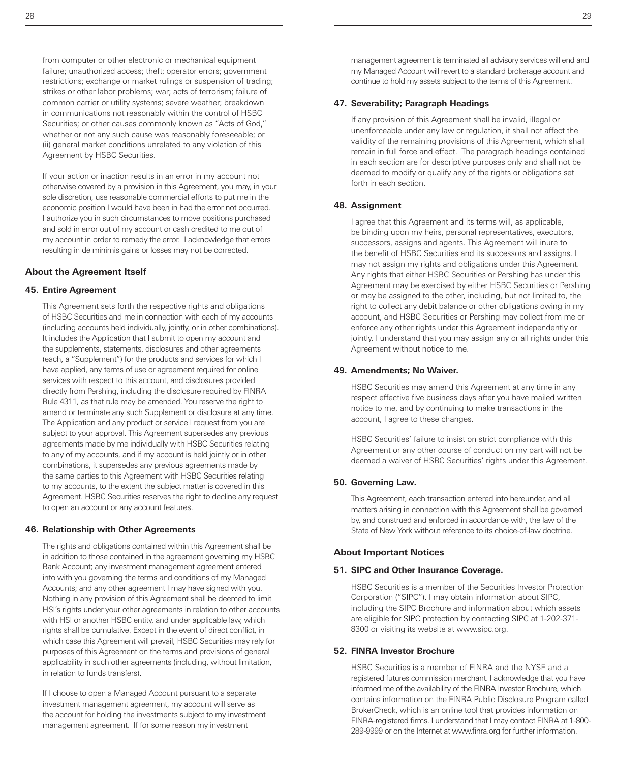from computer or other electronic or mechanical equipment failure; unauthorized access; theft; operator errors; government restrictions; exchange or market rulings or suspension of trading; strikes or other labor problems; war; acts of terrorism; failure of common carrier or utility systems; severe weather; breakdown in communications not reasonably within the control of HSBC Securities; or other causes commonly known as "Acts of God," whether or not any such cause was reasonably foreseeable; or (ii) general market conditions unrelated to any violation of this Agreement by HSBC Securities.

If your action or inaction results in an error in my account not otherwise covered by a provision in this Agreement, you may, in your sole discretion, use reasonable commercial efforts to put me in the economic position I would have been in had the error not occurred. I authorize you in such circumstances to move positions purchased and sold in error out of my account or cash credited to me out of my account in order to remedy the error. I acknowledge that errors resulting in de minimis gains or losses may not be corrected.

#### **About the Agreement Itself**

#### **45. Entire Agreement**

This Agreement sets forth the respective rights and obligations of HSBC Securities and me in connection with each of my accounts (including accounts held individually, jointly, or in other combinations). It includes the Application that I submit to open my account and the supplements, statements, disclosures and other agreements (each, a "Supplement") for the products and services for which I have applied, any terms of use or agreement required for online services with respect to this account, and disclosures provided directly from Pershing, including the disclosure required by FINRA Rule 4311, as that rule may be amended. You reserve the right to amend or terminate any such Supplement or disclosure at any time. The Application and any product or service I request from you are subject to your approval. This Agreement supersedes any previous agreements made by me individually with HSBC Securities relating to any of my accounts, and if my account is held jointly or in other combinations, it supersedes any previous agreements made by the same parties to this Agreement with HSBC Securities relating to my accounts, to the extent the subject matter is covered in this Agreement. HSBC Securities reserves the right to decline any request to open an account or any account features.

#### **46. Relationship with Other Agreements**

The rights and obligations contained within this Agreement shall be in addition to those contained in the agreement governing my HSBC Bank Account; any investment management agreement entered into with you governing the terms and conditions of my Managed Accounts; and any other agreement I may have signed with you. Nothing in any provision of this Agreement shall be deemed to limit HSI's rights under your other agreements in relation to other accounts with HSI or another HSBC entity, and under applicable law, which rights shall be cumulative. Except in the event of direct conflict, in which case this Agreement will prevail, HSBC Securities may rely for purposes of this Agreement on the terms and provisions of general applicability in such other agreements (including, without limitation, in relation to funds transfers).

If I choose to open a Managed Account pursuant to a separate investment management agreement, my account will serve as the account for holding the investments subject to my investment management agreement. If for some reason my investment

management agreement is terminated all advisory services will end and my Managed Account will revert to a standard brokerage account and continue to hold my assets subject to the terms of this Agreement.

# **47. Severability; Paragraph Headings**

If any provision of this Agreement shall be invalid, illegal or unenforceable under any law or regulation, it shall not affect the validity of the remaining provisions of this Agreement, which shall remain in full force and effect. The paragraph headings contained in each section are for descriptive purposes only and shall not be deemed to modify or qualify any of the rights or obligations set forth in each section.

#### **48. Assignment**

I agree that this Agreement and its terms will, as applicable, be binding upon my heirs, personal representatives, executors, successors, assigns and agents. This Agreement will inure to the benefit of HSBC Securities and its successors and assigns. I may not assign my rights and obligations under this Agreement. Any rights that either HSBC Securities or Pershing has under this Agreement may be exercised by either HSBC Securities or Pershing or may be assigned to the other, including, but not limited to, the right to collect any debit balance or other obligations owing in my account, and HSBC Securities or Pershing may collect from me or enforce any other rights under this Agreement independently or jointly. I understand that you may assign any or all rights under this Agreement without notice to me.

#### **49. Amendments; No Waiver.**

HSBC Securities may amend this Agreement at any time in any respect effective five business days after you have mailed written notice to me, and by continuing to make transactions in the account, I agree to these changes.

HSBC Securities' failure to insist on strict compliance with this Agreement or any other course of conduct on my part will not be deemed a waiver of HSBC Securities' rights under this Agreement.

#### **50. Governing Law.**

This Agreement, each transaction entered into hereunder, and all matters arising in connection with this Agreement shall be governed by, and construed and enforced in accordance with, the law of the State of New York without reference to its choice-of-law doctrine.

#### **About Important Notices**

#### **51. SIPC and Other Insurance Coverage.**

HSBC Securities is a member of the Securities Investor Protection Corporation ("SIPC"). I may obtain information about SIPC, including the SIPC Brochure and information about which assets are eligible for SIPC protection by contacting SIPC at 1-202-371- 8300 or visiting its website at www.sipc.org.

#### **52. FINRA Investor Brochure**

HSBC Securities is a member of FINRA and the NYSE and a registered futures commission merchant. I acknowledge that you have informed me of the availability of the FINRA Investor Brochure, which contains information on the FINRA Public Disclosure Program called BrokerCheck, which is an online tool that provides information on FINRA-registered firms. I understand that I may contact FINRA at 1-800- 289-9999 or on the Internet at www.finra.org for further information.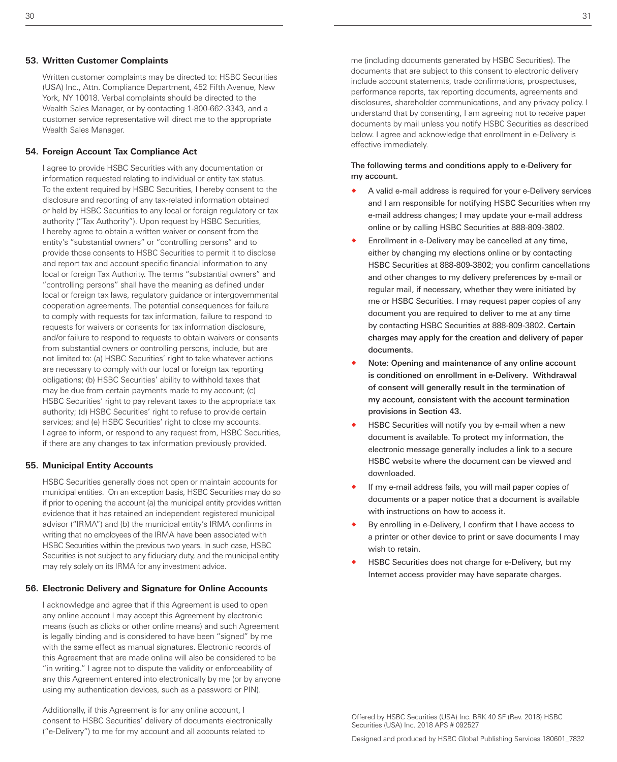#### **53. Written Customer Complaints**

Written customer complaints may be directed to: HSBC Securities (USA) Inc., Attn. Compliance Department, 452 Fifth Avenue, New York, NY 10018. Verbal complaints should be directed to the Wealth Sales Manager, or by contacting 1-800-662-3343, and a customer service representative will direct me to the appropriate Wealth Sales Manager.

#### **54. Foreign Account Tax Compliance Act**

I agree to provide HSBC Securities with any documentation or information requested relating to individual or entity tax status. To the extent required by HSBC Securities, I hereby consent to the disclosure and reporting of any tax-related information obtained or held by HSBC Securities to any local or foreign regulatory or tax authority ("Tax Authority"). Upon request by HSBC Securities, I hereby agree to obtain a written waiver or consent from the entity's "substantial owners" or "controlling persons" and to provide those consents to HSBC Securities to permit it to disclose and report tax and account specific financial information to any local or foreign Tax Authority. The terms "substantial owners" and "controlling persons" shall have the meaning as defined under local or foreign tax laws, regulatory guidance or intergovernmental cooperation agreements. The potential consequences for failure to comply with requests for tax information, failure to respond to requests for waivers or consents for tax information disclosure, and/or failure to respond to requests to obtain waivers or consents from substantial owners or controlling persons, include, but are not limited to: (a) HSBC Securities' right to take whatever actions are necessary to comply with our local or foreign tax reporting obligations; (b) HSBC Securities' ability to withhold taxes that may be due from certain payments made to my account; (c) HSBC Securities' right to pay relevant taxes to the appropriate tax authority; (d) HSBC Securities' right to refuse to provide certain services; and (e) HSBC Securities' right to close my accounts. I agree to inform, or respond to any request from, HSBC Securities, if there are any changes to tax information previously provided.

#### **55. Municipal Entity Accounts**

HSBC Securities generally does not open or maintain accounts for municipal entities. On an exception basis, HSBC Securities may do so if prior to opening the account (a) the municipal entity provides written evidence that it has retained an independent registered municipal advisor ("IRMA") and (b) the municipal entity's IRMA confirms in writing that no employees of the IRMA have been associated with HSBC Securities within the previous two years. In such case, HSBC Securities is not subject to any fiduciary duty, and the municipal entity may rely solely on its IRMA for any investment advice.

#### **56. Electronic Delivery and Signature for Online Accounts**

I acknowledge and agree that if this Agreement is used to open any online account I may accept this Agreement by electronic means (such as clicks or other online means) and such Agreement is legally binding and is considered to have been "signed" by me with the same effect as manual signatures. Electronic records of this Agreement that are made online will also be considered to be "in writing." I agree not to dispute the validity or enforceability of any this Agreement entered into electronically by me (or by anyone using my authentication devices, such as a password or PIN).

Additionally, if this Agreement is for any online account, I consent to HSBC Securities' delivery of documents electronically ("e-Delivery") to me for my account and all accounts related to

me (including documents generated by HSBC Securities). The documents that are subject to this consent to electronic delivery include account statements, trade confirmations, prospectuses, performance reports, tax reporting documents, agreements and disclosures, shareholder communications, and any privacy policy. I understand that by consenting, I am agreeing not to receive paper documents by mail unless you notify HSBC Securities as described below. I agree and acknowledge that enrollment in e-Delivery is effective immediately.

#### The following terms and conditions apply to e-Delivery for my account.

- A valid e-mail address is required for your e-Delivery services and I am responsible for notifying HSBC Securities when my e-mail address changes; I may update your e-mail address online or by calling HSBC Securities at 888-809-3802.
- Enrollment in e-Delivery may be cancelled at any time, either by changing my elections online or by contacting HSBC Securities at 888-809-3802; you confirm cancellations and other changes to my delivery preferences by e-mail or regular mail, if necessary, whether they were initiated by me or HSBC Securities. I may request paper copies of any document you are required to deliver to me at any time by contacting HSBC Securities at 888-809-3802. Certain charges may apply for the creation and delivery of paper documents.
- Note: Opening and maintenance of any online account is conditioned on enrollment in e-Delivery. Withdrawal of consent will generally result in the termination of my account, consistent with the account termination provisions in Section 43.
- HSBC Securities will notify you by e-mail when a new document is available. To protect my information, the electronic message generally includes a link to a secure HSBC website where the document can be viewed and downloaded.
- If my e-mail address fails, you will mail paper copies of documents or a paper notice that a document is available with instructions on how to access it.
- By enrolling in e-Delivery, I confirm that I have access to a printer or other device to print or save documents I may wish to retain.
- HSBC Securities does not charge for e-Delivery, but my Internet access provider may have separate charges.

 $30$  31

Offered by HSBC Securities (USA) Inc. BRK 40 SF (Rev. 2018) HSBC Securities (USA) Inc. 2018 APS # 092527